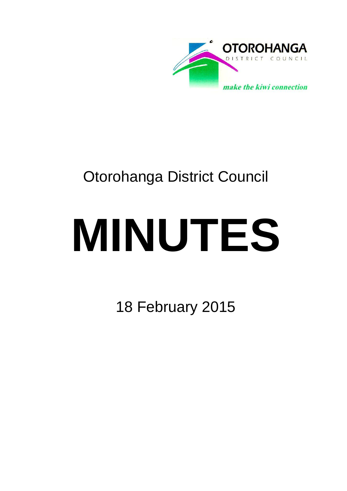

# Otorohanga District Council

# **MINUTES**

18 February 2015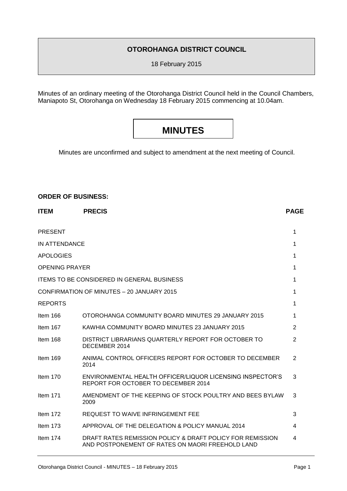### **OTOROHANGA DISTRICT COUNCIL**

18 February 2015

Minutes of an ordinary meeting of the Otorohanga District Council held in the Council Chambers, Maniapoto St, Otorohanga on Wednesday 18 February 2015 commencing at 10.04am.

# **MINUTES**

Minutes are unconfirmed and subject to amendment at the next meeting of Council.

#### **ORDER OF BUSINESS:**

| <b>ITEM</b>           | <b>PRECIS</b>                                                                                                 | <b>PAGE</b>    |
|-----------------------|---------------------------------------------------------------------------------------------------------------|----------------|
| <b>PRESENT</b>        |                                                                                                               | 1              |
| IN ATTENDANCE         |                                                                                                               | 1              |
| <b>APOLOGIES</b>      |                                                                                                               | 1              |
| <b>OPENING PRAYER</b> |                                                                                                               | 1              |
|                       | <b>ITEMS TO BE CONSIDERED IN GENERAL BUSINESS</b>                                                             | 1              |
|                       | CONFIRMATION OF MINUTES - 20 JANUARY 2015                                                                     | 1              |
| <b>REPORTS</b>        |                                                                                                               | 1              |
| Item 166              | OTOROHANGA COMMUNITY BOARD MINUTES 29 JANUARY 2015                                                            | 1              |
| Item 167              | KAWHIA COMMUNITY BOARD MINUTES 23 JANUARY 2015                                                                | 2              |
| Item 168              | DISTRICT LIBRARIANS QUARTERLY REPORT FOR OCTOBER TO<br>DECEMBER 2014                                          | $\overline{2}$ |
| Item $169$            | ANIMAL CONTROL OFFICERS REPORT FOR OCTOBER TO DECEMBER<br>2014                                                | $\overline{2}$ |
| Item $170$            | ENVIRONMENTAL HEALTH OFFICER/LIQUOR LICENSING INSPECTOR'S<br>REPORT FOR OCTOBER TO DECEMBER 2014              | 3              |
| Item $171$            | AMENDMENT OF THE KEEPING OF STOCK POULTRY AND BEES BYLAW<br>2009                                              | 3              |
| Item 172              | REQUEST TO WAIVE INFRINGEMENT FEE                                                                             | 3              |
| Item $173$            | APPROVAL OF THE DELEGATION & POLICY MANUAL 2014                                                               | 4              |
| Item 174              | DRAFT RATES REMISSION POLICY & DRAFT POLICY FOR REMISSION<br>AND POSTPONEMENT OF RATES ON MAORI FREEHOLD LAND | 4              |
|                       |                                                                                                               |                |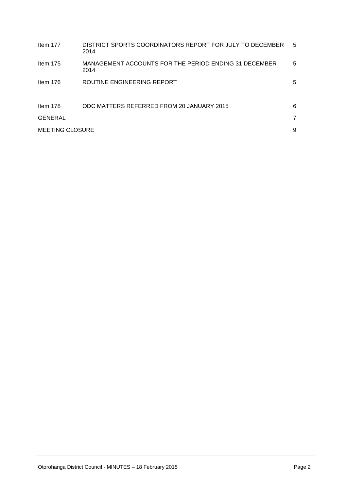| Item 177               | DISTRICT SPORTS COORDINATORS REPORT FOR JULY TO DECEMBER<br>2014 | 5 |
|------------------------|------------------------------------------------------------------|---|
| Item $175$             | MANAGEMENT ACCOUNTS FOR THE PERIOD ENDING 31 DECEMBER<br>2014    | 5 |
| Item 176               | ROUTINE ENGINEERING REPORT                                       | 5 |
| Item 178               | ODC MATTERS REFERRED FROM 20 JANUARY 2015                        | 6 |
| GENERAL                |                                                                  | 7 |
| <b>MEETING CLOSURE</b> |                                                                  | 9 |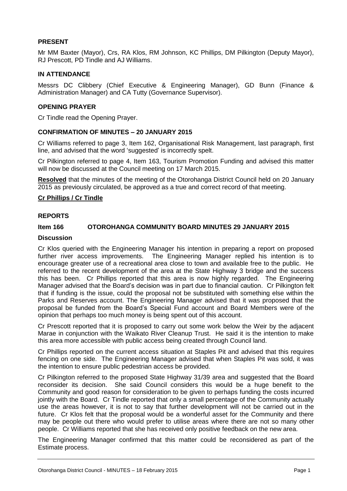#### **PRESENT**

Mr MM Baxter (Mayor), Crs, RA Klos, RM Johnson, KC Phillips, DM Pilkington (Deputy Mayor), RJ Prescott, PD Tindle and AJ Williams.

#### **IN ATTENDANCE**

Messrs DC Clibbery (Chief Executive & Engineering Manager), GD Bunn (Finance & Administration Manager) and CA Tutty (Governance Supervisor).

#### **OPENING PRAYER**

Cr Tindle read the Opening Prayer.

#### **CONFIRMATION OF MINUTES – 20 JANUARY 2015**

Cr Williams referred to page 3, Item 162, Organisational Risk Management, last paragraph, first line, and advised that the word 'suggested' is incorrectly spelt.

Cr Pilkington referred to page 4, Item 163, Tourism Promotion Funding and advised this matter will now be discussed at the Council meeting on 17 March 2015.

**Resolved** that the minutes of the meeting of the Otorohanga District Council held on 20 January 2015 as previously circulated, be approved as a true and correct record of that meeting.

#### **Cr Phillips / Cr Tindle**

#### **REPORTS**

#### **Item 166 OTOROHANGA COMMUNITY BOARD MINUTES 29 JANUARY 2015**

#### **Discussion**

Cr Klos queried with the Engineering Manager his intention in preparing a report on proposed further river access improvements. The Engineering Manager replied his intention is to encourage greater use of a recreational area close to town and available free to the public. He referred to the recent development of the area at the State Highway 3 bridge and the success this has been. Cr Phillips reported that this area is now highly regarded. The Engineering Manager advised that the Board's decision was in part due to financial caution. Cr Pilkington felt that if funding is the issue, could the proposal not be substituted with something else within the Parks and Reserves account. The Engineering Manager advised that it was proposed that the proposal be funded from the Board's Special Fund account and Board Members were of the opinion that perhaps too much money is being spent out of this account.

Cr Prescott reported that it is proposed to carry out some work below the Weir by the adjacent Marae in conjunction with the Waikato River Cleanup Trust. He said it is the intention to make this area more accessible with public access being created through Council land.

Cr Phillips reported on the current access situation at Staples Pit and advised that this requires fencing on one side. The Engineering Manager advised that when Staples Pit was sold, it was the intention to ensure public pedestrian access be provided.

Cr Pilkington referred to the proposed State Highway 31/39 area and suggested that the Board reconsider its decision. She said Council considers this would be a huge benefit to the Community and good reason for consideration to be given to perhaps funding the costs incurred jointly with the Board. Cr Tindle reported that only a small percentage of the Community actually use the areas however, it is not to say that further development will not be carried out in the future. Cr Klos felt that the proposal would be a wonderful asset for the Community and there may be people out there who would prefer to utilise areas where there are not so many other people. Cr Williams reported that she has received only positive feedback on the new area.

The Engineering Manager confirmed that this matter could be reconsidered as part of the Estimate process.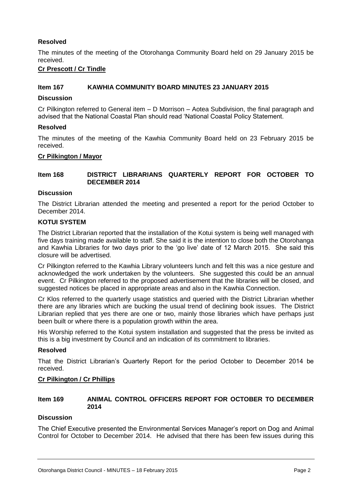#### **Resolved**

The minutes of the meeting of the Otorohanga Community Board held on 29 January 2015 be received.

#### **Cr Prescott / Cr Tindle**

#### **Item 167 KAWHIA COMMUNITY BOARD MINUTES 23 JANUARY 2015**

#### **Discussion**

Cr Pilkington referred to General item – D Morrison – Aotea Subdivision, the final paragraph and advised that the National Coastal Plan should read 'National Coastal Policy Statement.

#### **Resolved**

The minutes of the meeting of the Kawhia Community Board held on 23 February 2015 be received.

#### **Cr Pilkington / Mayor**

#### **Item 168 DISTRICT LIBRARIANS QUARTERLY REPORT FOR OCTOBER TO DECEMBER 2014**

#### **Discussion**

The District Librarian attended the meeting and presented a report for the period October to December 2014.

#### **KOTUI SYSTEM**

The District Librarian reported that the installation of the Kotui system is being well managed with five days training made available to staff. She said it is the intention to close both the Otorohanga and Kawhia Libraries for two days prior to the 'go live' date of 12 March 2015. She said this closure will be advertised.

Cr Pilkington referred to the Kawhia Library volunteers lunch and felt this was a nice gesture and acknowledged the work undertaken by the volunteers. She suggested this could be an annual event. Cr Pilkington referred to the proposed advertisement that the libraries will be closed, and suggested notices be placed in appropriate areas and also in the Kawhia Connection.

Cr Klos referred to the quarterly usage statistics and queried with the District Librarian whether there are any libraries which are bucking the usual trend of declining book issues. The District Librarian replied that yes there are one or two, mainly those libraries which have perhaps just been built or where there is a population growth within the area.

His Worship referred to the Kotui system installation and suggested that the press be invited as this is a big investment by Council and an indication of its commitment to libraries.

#### **Resolved**

That the District Librarian's Quarterly Report for the period October to December 2014 be received.

#### **Cr Pilkington / Cr Phillips**

#### **Item 169 ANIMAL CONTROL OFFICERS REPORT FOR OCTOBER TO DECEMBER 2014**

#### **Discussion**

The Chief Executive presented the Environmental Services Manager's report on Dog and Animal Control for October to December 2014. He advised that there has been few issues during this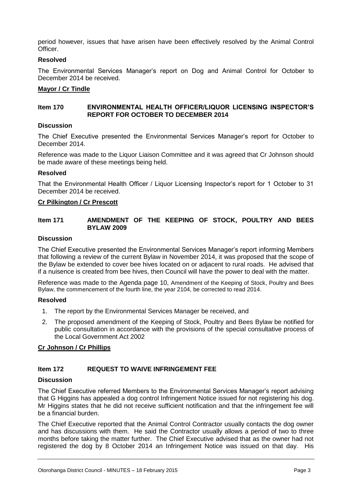period however, issues that have arisen have been effectively resolved by the Animal Control **Officer** 

#### **Resolved**

The Environmental Services Manager's report on Dog and Animal Control for October to December 2014 be received.

#### **Mayor / Cr Tindle**

#### **Item 170 ENVIRONMENTAL HEALTH OFFICER/LIQUOR LICENSING INSPECTOR'S REPORT FOR OCTOBER TO DECEMBER 2014**

#### **Discussion**

The Chief Executive presented the Environmental Services Manager's report for October to December 2014.

Reference was made to the Liquor Liaison Committee and it was agreed that Cr Johnson should be made aware of these meetings being held.

#### **Resolved**

That the Environmental Health Officer / Liquor Licensing Inspector's report for 1 October to 31 December 2014 be received.

#### **Cr Pilkington / Cr Prescott**

#### **Item 171 AMENDMENT OF THE KEEPING OF STOCK, POULTRY AND BEES BYLAW 2009**

#### **Discussion**

The Chief Executive presented the Environmental Services Manager's report informing Members that following a review of the current Bylaw in November 2014, it was proposed that the scope of the Bylaw be extended to cover bee hives located on or adjacent to rural roads. He advised that if a nuisence is created from bee hives, then Council will have the power to deal with the matter.

Reference was made to the Agenda page 10, Amendment of the Keeping of Stock, Poultry and Bees Bylaw, the commencement of the fourth line, the year 2104, be corrected to read 2014.

#### **Resolved**

- 1. The report by the Environmental Services Manager be received, and
- 2. The proposed amendment of the Keeping of Stock, Poultry and Bees Bylaw be notified for public consultation in accordance with the provisions of the special consultative process of the Local Government Act 2002

#### **Cr Johnson / Cr Phillips**

#### **Item 172 REQUEST TO WAIVE INFRINGEMENT FEE**

#### **Discussion**

The Chief Executive referred Members to the Environmental Services Manager's report advising that G Higgins has appealed a dog control Infringement Notice issued for not registering his dog. Mr Higgins states that he did not receive sufficient notification and that the infringement fee will be a financial burden.

The Chief Executive reported that the Animal Control Contractor usually contacts the dog owner and has discussions with them. He said the Contractor usually allows a period of two to three months before taking the matter further. The Chief Executive advised that as the owner had not registered the dog by 8 October 2014 an Infringement Notice was issued on that day. His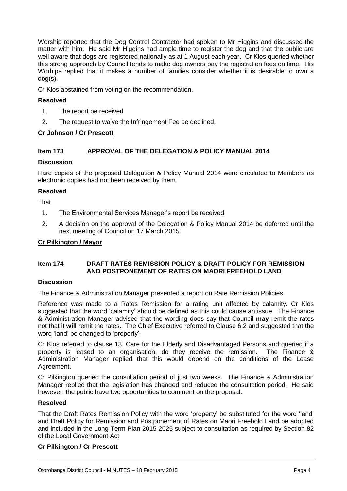Worship reported that the Dog Control Contractor had spoken to Mr Higgins and discussed the matter with him. He said Mr Higgins had ample time to register the dog and that the public are well aware that dogs are registered nationally as at 1 August each year. Cr Klos queried whether this strong approach by Council tends to make dog owners pay the registration fees on time. His Worhips replied that it makes a number of families consider whether it is desirable to own a dog(s).

Cr Klos abstained from voting on the recommendation.

#### **Resolved**

- 1. The report be received
- 2. The request to waive the Infringement Fee be declined.

#### **Cr Johnson / Cr Prescott**

#### **Item 173 APPROVAL OF THE DELEGATION & POLICY MANUAL 2014**

#### **Discussion**

Hard copies of the proposed Delegation & Policy Manual 2014 were circulated to Members as electronic copies had not been received by them.

#### **Resolved**

**That** 

- 1. The Environmental Services Manager's report be received
- 2. A decision on the approval of the Delegation & Policy Manual 2014 be deferred until the next meeting of Council on 17 March 2015.

#### **Cr Pilkington / Mayor**

#### **Item 174 DRAFT RATES REMISSION POLICY & DRAFT POLICY FOR REMISSION AND POSTPONEMENT OF RATES ON MAORI FREEHOLD LAND**

#### **Discussion**

The Finance & Administration Manager presented a report on Rate Remission Policies.

Reference was made to a Rates Remission for a rating unit affected by calamity. Cr Klos suggested that the word 'calamity' should be defined as this could cause an issue. The Finance & Administration Manager advised that the wording does say that Council **may** remit the rates not that it **will** remit the rates. The Chief Executive referred to Clause 6.2 and suggested that the word 'land' be changed to 'property'.

Cr Klos referred to clause 13. Care for the Elderly and Disadvantaged Persons and queried if a property is leased to an organisation, do they receive the remission. The Finance & Administration Manager replied that this would depend on the conditions of the Lease Agreement.

Cr Pilkington queried the consultation period of just two weeks. The Finance & Administration Manager replied that the legislation has changed and reduced the consultation period. He said however, the public have two opportunities to comment on the proposal.

#### **Resolved**

That the Draft Rates Remission Policy with the word 'property' be substituted for the word 'land' and Draft Policy for Remission and Postponement of Rates on Maori Freehold Land be adopted and included in the Long Term Plan 2015-2025 subject to consultation as required by Section 82 of the Local Government Act

#### **Cr Pilkington / Cr Prescott**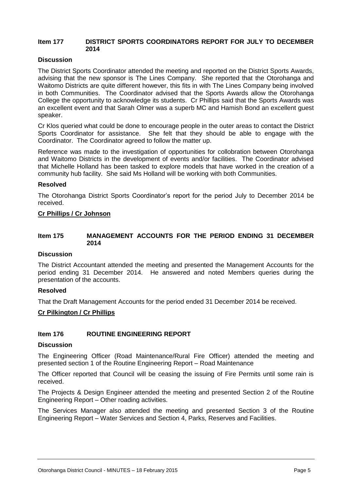#### **Item 177 DISTRICT SPORTS COORDINATORS REPORT FOR JULY TO DECEMBER 2014**

#### **Discussion**

The District Sports Coordinator attended the meeting and reported on the District Sports Awards, advising that the new sponsor is The Lines Company. She reported that the Otorohanga and Waitomo Districts are quite different however, this fits in with The Lines Company being involved in both Communities. The Coordinator advised that the Sports Awards allow the Otorohanga College the opportunity to acknowledge its students. Cr Phillips said that the Sports Awards was an excellent event and that Sarah Olmer was a superb MC and Hamish Bond an excellent guest speaker.

Cr Klos queried what could be done to encourage people in the outer areas to contact the District Sports Coordinator for assistance. She felt that they should be able to engage with the Coordinator. The Coordinator agreed to follow the matter up.

Reference was made to the investigation of opportunities for collobration between Otorohanga and Waitomo Districts in the development of events and/or facilities. The Coordinator advised that Michelle Holland has been tasked to explore models that have worked in the creation of a community hub facility. She said Ms Holland will be working with both Communities.

#### **Resolved**

The Otorohanga District Sports Coordinator's report for the period July to December 2014 be received.

#### **Cr Phillips / Cr Johnson**

#### **Item 175 MANAGEMENT ACCOUNTS FOR THE PERIOD ENDING 31 DECEMBER 2014**

#### **Discussion**

The District Accountant attended the meeting and presented the Management Accounts for the period ending 31 December 2014. He answered and noted Members queries during the presentation of the accounts.

#### **Resolved**

That the Draft Management Accounts for the period ended 31 December 2014 be received.

#### **Cr Pilkington / Cr Phillips**

#### **Item 176 ROUTINE ENGINEERING REPORT**

#### **Discussion**

The Engineering Officer (Road Maintenance/Rural Fire Officer) attended the meeting and presented section 1 of the Routine Engineering Report – Road Maintenance

The Officer reported that Council will be ceasing the issuing of Fire Permits until some rain is received.

The Projects & Design Engineer attended the meeting and presented Section 2 of the Routine Engineering Report – Other roading activities.

The Services Manager also attended the meeting and presented Section 3 of the Routine Engineering Report – Water Services and Section 4, Parks, Reserves and Facilities.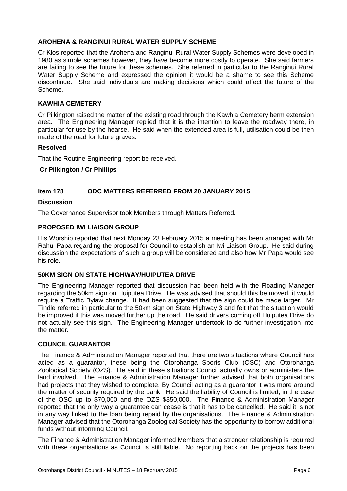#### **AROHENA & RANGINUI RURAL WATER SUPPLY SCHEME**

Cr Klos reported that the Arohena and Ranginui Rural Water Supply Schemes were developed in 1980 as simple schemes however, they have become more costly to operate. She said farmers are failing to see the future for these schemes. She referred in particular to the Ranginui Rural Water Supply Scheme and expressed the opinion it would be a shame to see this Scheme discontinue. She said individuals are making decisions which could affect the future of the Scheme.

#### **KAWHIA CEMETERY**

Cr Pilkington raised the matter of the existing road through the Kawhia Cemetery berm extension area. The Engineering Manager replied that it is the intention to leave the roadway there, in particular for use by the hearse. He said when the extended area is full, utilisation could be then made of the road for future graves.

#### **Resolved**

That the Routine Engineering report be received.

#### **Cr Pilkington / Cr Phillips**

#### **Item 178 ODC MATTERS REFERRED FROM 20 JANUARY 2015**

#### **Discussion**

The Governance Supervisor took Members through Matters Referred.

#### **PROPOSED IWI LIAISON GROUP**

His Worship reported that next Monday 23 February 2015 a meeting has been arranged with Mr Rahui Papa regarding the proposal for Council to establish an Iwi Liaison Group. He said during discussion the expectations of such a group will be considered and also how Mr Papa would see his role.

#### **50KM SIGN ON STATE HIGHWAY/HUIPUTEA DRIVE**

The Engineering Manager reported that discussion had been held with the Roading Manager regarding the 50km sign on Huiputea Drive. He was advised that should this be moved, it would require a Traffic Bylaw change. It had been suggested that the sign could be made larger. Mr Tindle referred in particular to the 50km sign on State Highway 3 and felt that the situation would be improved if this was moved further up the road. He said drivers coming off Huiputea Drive do not actually see this sign. The Engineering Manager undertook to do further investigation into the matter.

#### **COUNCIL GUARANTOR**

The Finance & Administration Manager reported that there are two situations where Council has acted as a guarantor, these being the Otorohanga Sports Club (OSC) and Otorohanga Zoological Society (OZS). He said in these situations Council actually owns or administers the land involved. The Finance & Administration Manager further advised that both organisations had projects that they wished to complete. By Council acting as a guarantor it was more around the matter of security required by the bank. He said the liability of Council is limited, in the case of the OSC up to \$70,000 and the OZS \$350,000. The Finance & Administration Manager reported that the only way a guarantee can cease is that it has to be cancelled. He said it is not in any way linked to the loan being repaid by the organisations. The Finance & Administration Manager advised that the Otorohanga Zoological Society has the opportunity to borrow additional funds without informing Council.

The Finance & Administration Manager informed Members that a stronger relationship is required with these organisations as Council is still liable. No reporting back on the projects has been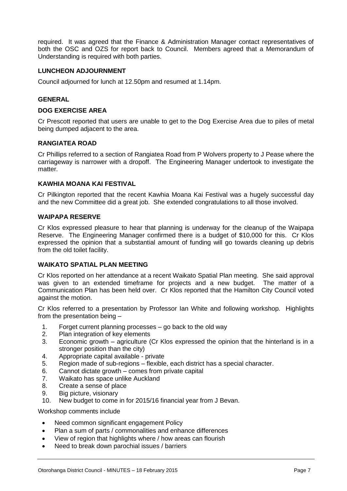required. It was agreed that the Finance & Administration Manager contact representatives of both the OSC and OZS for report back to Council. Members agreed that a Memorandum of Understanding is required with both parties.

#### **LUNCHEON ADJOURNMENT**

Council adjourned for lunch at 12.50pm and resumed at 1.14pm.

#### **GENERAL**

#### **DOG EXERCISE AREA**

Cr Prescott reported that users are unable to get to the Dog Exercise Area due to piles of metal being dumped adjacent to the area.

#### **RANGIATEA ROAD**

Cr Phillips referred to a section of Rangiatea Road from P Wolvers property to J Pease where the carriageway is narrower with a dropoff. The Engineering Manager undertook to investigate the matter.

#### **KAWHIA MOANA KAI FESTIVAL**

Cr Pilkington reported that the recent Kawhia Moana Kai Festival was a hugely successful day and the new Committee did a great job. She extended congratulations to all those involved.

#### **WAIPAPA RESERVE**

Cr Klos expressed pleasure to hear that planning is underway for the cleanup of the Waipapa Reserve. The Engineering Manager confirmed there is a budget of \$10,000 for this. Cr Klos expressed the opinion that a substantial amount of funding will go towards cleaning up debris from the old toilet facility.

#### **WAIKATO SPATIAL PLAN MEETING**

Cr Klos reported on her attendance at a recent Waikato Spatial Plan meeting. She said approval was given to an extended timeframe for projects and a new budget. The matter of a Communication Plan has been held over. Cr Klos reported that the Hamilton City Council voted against the motion.

Cr Klos referred to a presentation by Professor Ian White and following workshop. Highlights from the presentation being –

- 1. Forget current planning processes go back to the old way
- 2. Plan integration of key elements
- 3. Economic growth agriculture (Cr Klos expressed the opinion that the hinterland is in a stronger position than the city)
- 4. Appropriate capital available private
- 5. Region made of sub-regions flexible, each district has a special character.
- 6. Cannot dictate growth comes from private capital
- 7. Waikato has space unlike Auckland
- 8. Create a sense of place
- 9. Big picture, visionary<br>10. New budget to come
- New budget to come in for 2015/16 financial year from J Bevan.

Workshop comments include

- Need common significant engagement Policy
- Plan a sum of parts / commonalities and enhance differences
- View of region that highlights where / how areas can flourish
- Need to break down parochial issues / barriers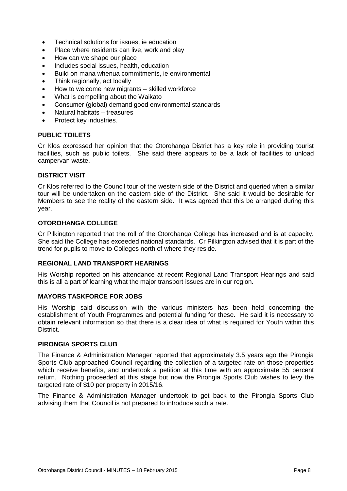- Technical solutions for issues, ie education
- Place where residents can live, work and play
- How can we shape our place
- Includes social issues, health, education
- Build on mana whenua commitments, ie environmental
- Think regionally, act locally
- How to welcome new migrants skilled workforce
- What is compelling about the Waikato
- Consumer (global) demand good environmental standards
- Natural habitats treasures
- Protect key industries.

#### **PUBLIC TOILETS**

Cr Klos expressed her opinion that the Otorohanga District has a key role in providing tourist facilities, such as public toilets. She said there appears to be a lack of facilities to unload campervan waste.

#### **DISTRICT VISIT**

Cr Klos referred to the Council tour of the western side of the District and queried when a similar tour will be undertaken on the eastern side of the District. She said it would be desirable for Members to see the reality of the eastern side. It was agreed that this be arranged during this year.

#### **OTOROHANGA COLLEGE**

Cr Pilkington reported that the roll of the Otorohanga College has increased and is at capacity. She said the College has exceeded national standards. Cr Pilkington advised that it is part of the trend for pupils to move to Colleges north of where they reside.

#### **REGIONAL LAND TRANSPORT HEARINGS**

His Worship reported on his attendance at recent Regional Land Transport Hearings and said this is all a part of learning what the major transport issues are in our region.

#### **MAYORS TASKFORCE FOR JOBS**

His Worship said discussion with the various ministers has been held concerning the establishment of Youth Programmes and potential funding for these. He said it is necessary to obtain relevant information so that there is a clear idea of what is required for Youth within this District.

#### **PIRONGIA SPORTS CLUB**

The Finance & Administration Manager reported that approximately 3.5 years ago the Pirongia Sports Club approached Council regarding the collection of a targeted rate on those properties which receive benefits, and undertook a petition at this time with an approximate 55 percent return. Nothing proceeded at this stage but now the Pirongia Sports Club wishes to levy the targeted rate of \$10 per property in 2015/16.

The Finance & Administration Manager undertook to get back to the Pirongia Sports Club advising them that Council is not prepared to introduce such a rate.